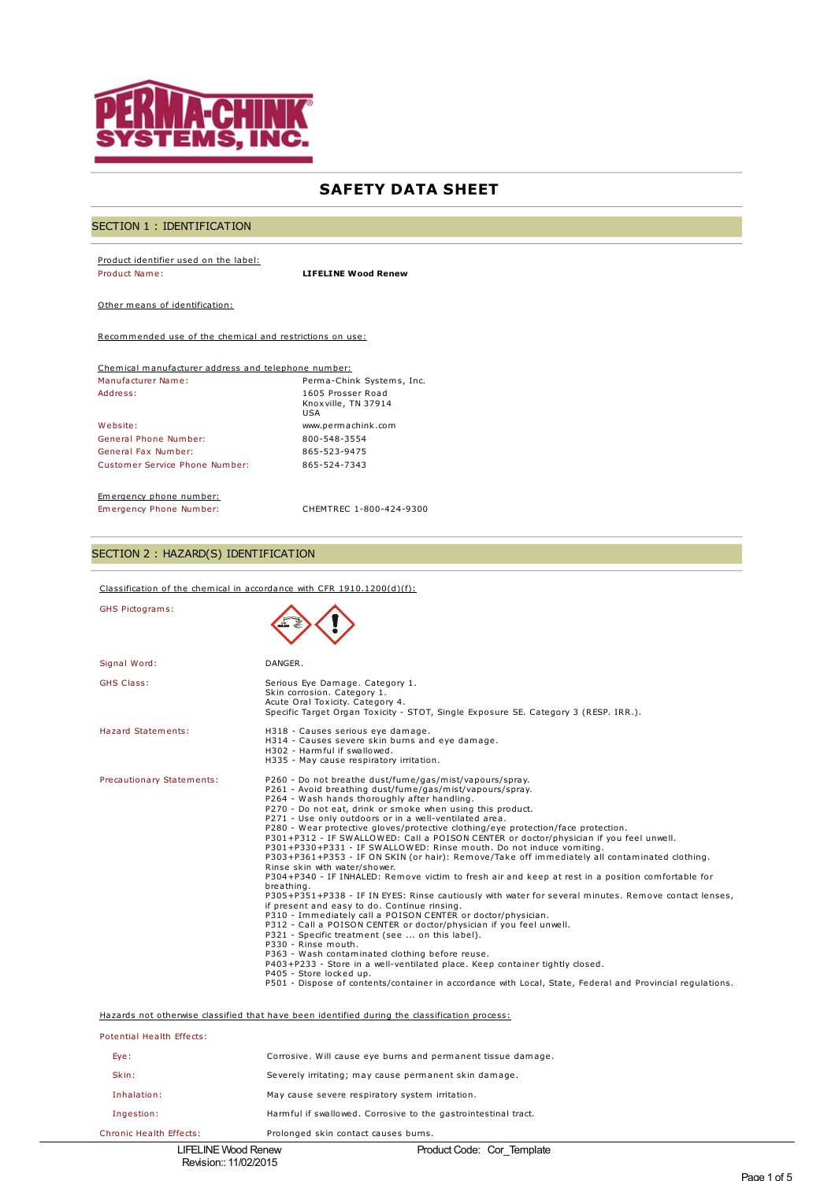

# **SAFETY DATA SHEET**

# SECTION 1 : IDENTIFICATION

Product identifier used on the label: Product Name: **LIFELINE Wood Renew**

Other means of identification:

Recommended use of the chemical and restrictions on use:

| Chemical manufacturer address and telephone number: |                                                 |  |
|-----------------------------------------------------|-------------------------------------------------|--|
| Manufacturer Name:<br>Perma-Chink Systems, Inc.     |                                                 |  |
| Address:                                            | 1605 Prosser Road<br>Knoxville, TN 37914<br>USA |  |
| Website:                                            | www.permachink.com                              |  |
| General Phone Number:                               | 800-548-3554                                    |  |
| General Fax Number:                                 | 865-523-9475                                    |  |
| Customer Service Phone Number:                      | 865-524-7343                                    |  |

Emergency phone number:<br>Emergency Phone Number:

Emergency Phone Number: CHEMTREC 1-800-424-9300

# SECTION 2 : HAZARD(S) IDENTIFICATION

Classification of the chemical in accordance with CFR 1910.1200(d)(f):

| <b>GHS Pictograms:</b>                                                                        |                                                                                                                                                                                                                                                                                                                                                                                                                                                                                                                                                                                                                                                                                                                                                                                                                                                                                                                                                                                                                                                                                                                                                                                                                                                                                                                                                                                                                                                            |  |
|-----------------------------------------------------------------------------------------------|------------------------------------------------------------------------------------------------------------------------------------------------------------------------------------------------------------------------------------------------------------------------------------------------------------------------------------------------------------------------------------------------------------------------------------------------------------------------------------------------------------------------------------------------------------------------------------------------------------------------------------------------------------------------------------------------------------------------------------------------------------------------------------------------------------------------------------------------------------------------------------------------------------------------------------------------------------------------------------------------------------------------------------------------------------------------------------------------------------------------------------------------------------------------------------------------------------------------------------------------------------------------------------------------------------------------------------------------------------------------------------------------------------------------------------------------------------|--|
| Signal Word:                                                                                  | DANGER.                                                                                                                                                                                                                                                                                                                                                                                                                                                                                                                                                                                                                                                                                                                                                                                                                                                                                                                                                                                                                                                                                                                                                                                                                                                                                                                                                                                                                                                    |  |
| <b>GHS Class:</b>                                                                             | Serious Eye Damage. Category 1.<br>Skin corrosion. Category 1.<br>Acute Oral Toxicity. Category 4.<br>Specific Target Organ Toxicity - STOT, Single Exposure SE. Category 3 (RESP. IRR.).                                                                                                                                                                                                                                                                                                                                                                                                                                                                                                                                                                                                                                                                                                                                                                                                                                                                                                                                                                                                                                                                                                                                                                                                                                                                  |  |
| Hazard Statements:                                                                            | H318 - Causes serious eye damage.<br>H314 - Causes severe skin burns and eye damage.<br>H302 - Harmful if swallowed.<br>H335 - May cause respiratory irritation.                                                                                                                                                                                                                                                                                                                                                                                                                                                                                                                                                                                                                                                                                                                                                                                                                                                                                                                                                                                                                                                                                                                                                                                                                                                                                           |  |
| Precautionary Statements:                                                                     | P260 - Do not breathe dust/fume/gas/mist/vapours/spray.<br>P261 - Avoid breathing dust/fume/gas/mist/vapours/spray.<br>P264 - Wash hands thoroughly after handling.<br>P270 - Do not eat, drink or smoke when using this product.<br>P271 - Use only outdoors or in a well-ventilated area.<br>P280 - Wear protective gloves/protective clothing/eye protection/face protection.<br>P301+P312 - IF SWALLOWED: Call a POISON CENTER or doctor/physician if you feel unwell.<br>P301+P330+P331 - IF SWALLOWED: Rinse mouth. Do not induce vomiting.<br>P303+P361+P353 - IF ON SKIN (or hair): Remove/Take off immediately all contaminated clothing.<br>Rinse skin with water/shower.<br>P304+P340 - IF INHALED: Remove victim to fresh air and keep at rest in a position comfortable for<br>breathing.<br>P305+P351+P338 - IF IN EYES: Rinse cautiously with water for several minutes. Remove contact lenses,<br>if present and easy to do. Continue rinsing.<br>P310 - Immediately call a POISON CENTER or doctor/physician.<br>P312 - Call a POISON CENTER or doctor/physician if you feel unwell.<br>P321 - Specific treatment (see  on this label).<br>P330 - Rinse mouth.<br>P363 - Wash contaminated clothing before reuse.<br>P403+P233 - Store in a well-ventilated place. Keep container tightly closed.<br>P405 - Store locked up.<br>P501 - Dispose of contents/container in accordance with Local, State, Federal and Provincial regulations. |  |
| Hazards not otherwise classified that have been identified during the classification process: |                                                                                                                                                                                                                                                                                                                                                                                                                                                                                                                                                                                                                                                                                                                                                                                                                                                                                                                                                                                                                                                                                                                                                                                                                                                                                                                                                                                                                                                            |  |
| Potential Health Effects:                                                                     |                                                                                                                                                                                                                                                                                                                                                                                                                                                                                                                                                                                                                                                                                                                                                                                                                                                                                                                                                                                                                                                                                                                                                                                                                                                                                                                                                                                                                                                            |  |
| Eye:                                                                                          | Corrosive. Will cause eye burns and permanent tissue damage.                                                                                                                                                                                                                                                                                                                                                                                                                                                                                                                                                                                                                                                                                                                                                                                                                                                                                                                                                                                                                                                                                                                                                                                                                                                                                                                                                                                               |  |
| Skin:                                                                                         | Severely irritating; may cause permanent skin damage.                                                                                                                                                                                                                                                                                                                                                                                                                                                                                                                                                                                                                                                                                                                                                                                                                                                                                                                                                                                                                                                                                                                                                                                                                                                                                                                                                                                                      |  |
| Inhalation:                                                                                   | May cause severe respiratory system irritation.                                                                                                                                                                                                                                                                                                                                                                                                                                                                                                                                                                                                                                                                                                                                                                                                                                                                                                                                                                                                                                                                                                                                                                                                                                                                                                                                                                                                            |  |
| Ingestion:                                                                                    | Harmful if swallowed. Corrosive to the gastrointestinal tract.                                                                                                                                                                                                                                                                                                                                                                                                                                                                                                                                                                                                                                                                                                                                                                                                                                                                                                                                                                                                                                                                                                                                                                                                                                                                                                                                                                                             |  |
| Chronic Health Effects:                                                                       | Prolonged skin contact causes burns.                                                                                                                                                                                                                                                                                                                                                                                                                                                                                                                                                                                                                                                                                                                                                                                                                                                                                                                                                                                                                                                                                                                                                                                                                                                                                                                                                                                                                       |  |
| <b>LIFELINE Wood Renew</b>                                                                    | Product Code: Cor Template                                                                                                                                                                                                                                                                                                                                                                                                                                                                                                                                                                                                                                                                                                                                                                                                                                                                                                                                                                                                                                                                                                                                                                                                                                                                                                                                                                                                                                 |  |

Revision:: 11/02/2015

Product Code: Cor\_Template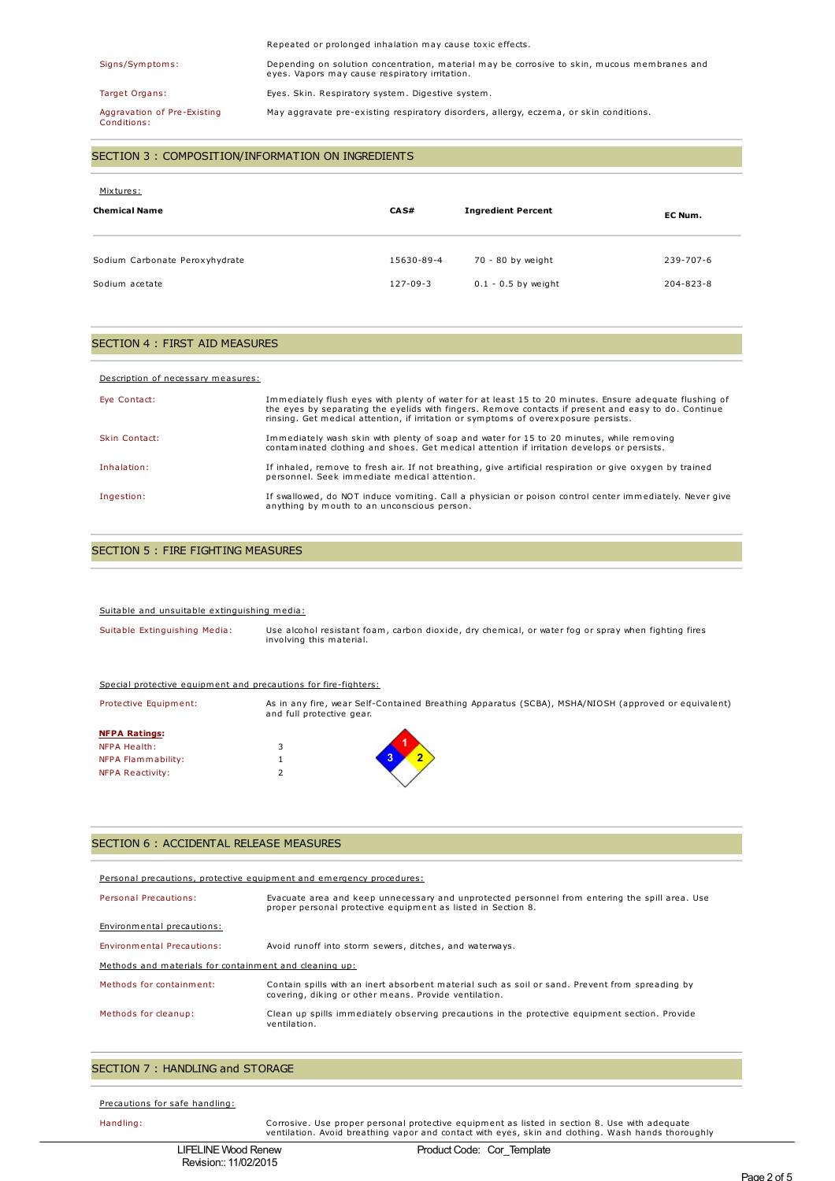## Repeated or prolonged inhalation may cause toxic effects.

Signs/Symptoms: Depending on solution concentration, material may be corrosive to skin, mucous membranes and eyes. Vapors may cause respiratory irritation.

Target Organs: Eyes. Skin. Respiratory system. Digestive system.

Aggravation of Pre-Existing Conditions:

SECTION 3 : COMPOSITION/INFORMATION ON INGREDIENTS

| Mixtures:<br><b>Chemical Name</b> | CA S#          | <b>Ingredient Percent</b> | EC Num.   |
|-----------------------------------|----------------|---------------------------|-----------|
| Sodium Carbonate Peroxyhydrate    | 15630-89-4     | 70 - 80 by weight         | 239-707-6 |
| Sodium acetate                    | $127 - 09 - 3$ | $0.1 - 0.5$ by weight     | 204-823-8 |

May aggravate pre-existing respiratory disorders, allergy, eczema, or skin conditions.

## SECTION 4 : FIRST AID MEASURES

#### Description of necessary measures:

| Eye Contact:  | Immediately flush eyes with plenty of water for at least 15 to 20 minutes. Ensure adequate flushing of<br>the eyes by separating the eyelids with fingers. Remove contacts if present and easy to do. Continue<br>rinsing. Get medical attention, if irritation or symptoms of overexposure persists. |
|---------------|-------------------------------------------------------------------------------------------------------------------------------------------------------------------------------------------------------------------------------------------------------------------------------------------------------|
| Skin Contact: | Immediately wash skin with plenty of soap and water for 15 to 20 minutes, while removing<br>contaminated clothing and shoes. Get medical attention if irritation develops or persists.                                                                                                                |
| Inhalation:   | If inhaled, remove to fresh air. If not breathing, give artificial respiration or give oxygen by trained<br>personnel. Seek immediate medical attention.                                                                                                                                              |
| Ingestion:    | If swallowed, do NOT induce vomiting. Call a physician or poison control center immediately. Never give<br>anything by mouth to an unconscious person.                                                                                                                                                |

#### SECTION 5 : FIRE FIGHTING MEASURES

#### Suitable and unsuitable extinguishing media:

| Suitable Extinguishing Media: | Use alcohol resistant foam, carbon dioxide, dry chemical, or water fog or spray when fighting fires<br>involving this material. |
|-------------------------------|---------------------------------------------------------------------------------------------------------------------------------|
|                               |                                                                                                                                 |

#### Special protective equipment and precautions for fire-fighters:

| Protective Equipment: | and full protective gear. | As in any fire, wear Self-Contained Breathing Apparatus (SCBA), MSHA/NIOSH (approved or equivalent) |
|-----------------------|---------------------------|-----------------------------------------------------------------------------------------------------|
| <b>NFPA Ratings:</b>  |                           |                                                                                                     |
| <b>NFPA Health:</b>   |                           |                                                                                                     |
| NFPA Flammability:    |                           |                                                                                                     |
| NFPA Reactivity:      |                           |                                                                                                     |

## SECTION 6 : ACCIDENTAL RELEASE MEASURES

| Personal precautions, protective equipment and emergency procedures:                                                                                           |  |  |  |
|----------------------------------------------------------------------------------------------------------------------------------------------------------------|--|--|--|
| Evacuate area and keep unnecessary and unprotected personnel from entering the spill area. Use<br>proper personal protective equipment as listed in Section 8. |  |  |  |
| Environmental precautions:                                                                                                                                     |  |  |  |
| Avoid runoff into storm sewers, ditches, and waterways.                                                                                                        |  |  |  |
| Methods and materials for containment and cleaning up:                                                                                                         |  |  |  |
| Contain spills with an inert absorbent material such as soil or sand. Prevent from spreading by<br>covering, diking or other means. Provide ventilation.       |  |  |  |
| Clean up spills immediately observing precautions in the protective equipment section. Provide<br>ventilation.                                                 |  |  |  |
|                                                                                                                                                                |  |  |  |

## SECTION 7 : HANDLING and STORAGE

Precautions for safe handling:

Handling: Corrosive. Use proper personal protective equipment as listed in section 8. Use with adequate ventilation. Avoid breathing vapor and contact with eyes, skin and clothing. Wash hands thoroughly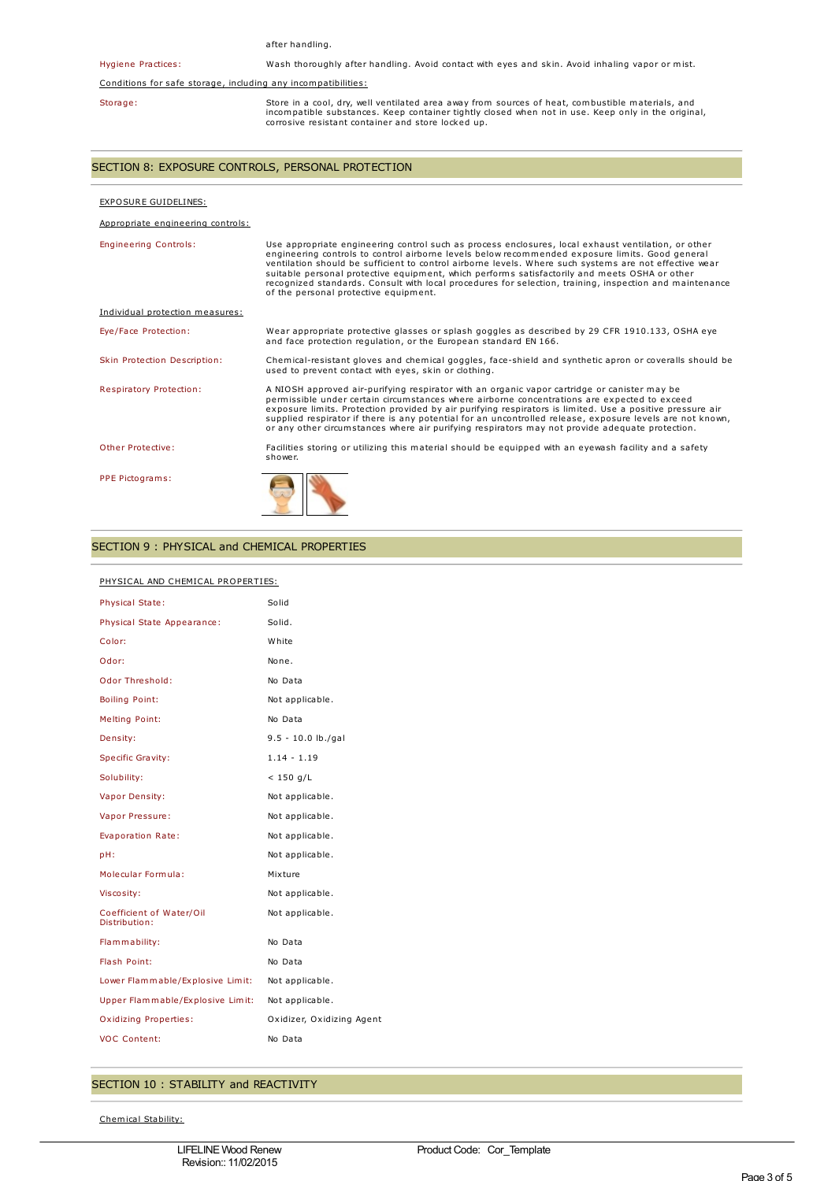|                                                                                                                                                                                                                                                                          | after handling.                                                                                                                                                                                                                                                                                                                                                                                                                                                                                                                                                       |
|--------------------------------------------------------------------------------------------------------------------------------------------------------------------------------------------------------------------------------------------------------------------------|-----------------------------------------------------------------------------------------------------------------------------------------------------------------------------------------------------------------------------------------------------------------------------------------------------------------------------------------------------------------------------------------------------------------------------------------------------------------------------------------------------------------------------------------------------------------------|
| <b>Hygiene Practices:</b>                                                                                                                                                                                                                                                | Wash thoroughly after handling. Avoid contact with eyes and skin. Avoid inhaling vapor or mist.                                                                                                                                                                                                                                                                                                                                                                                                                                                                       |
| Conditions for safe storage, including any incompatibilities:                                                                                                                                                                                                            |                                                                                                                                                                                                                                                                                                                                                                                                                                                                                                                                                                       |
| Store in a cool, dry, well ventilated area away from sources of heat, combustible materials, and<br>Storage:<br>incompatible substances. Keep container tightly closed when not in use. Keep only in the original,<br>corrosive resistant container and store locked up. |                                                                                                                                                                                                                                                                                                                                                                                                                                                                                                                                                                       |
| SECTION 8: EXPOSURE CONTROLS, PERSONAL PROTECTION                                                                                                                                                                                                                        |                                                                                                                                                                                                                                                                                                                                                                                                                                                                                                                                                                       |
| EXPOSURE GUIDELINES:                                                                                                                                                                                                                                                     |                                                                                                                                                                                                                                                                                                                                                                                                                                                                                                                                                                       |
| Appropriate engineering controls:                                                                                                                                                                                                                                        |                                                                                                                                                                                                                                                                                                                                                                                                                                                                                                                                                                       |
| <b>Engineering Controls:</b>                                                                                                                                                                                                                                             | Use appropriate engineering control such as process enclosures, local exhaust ventilation, or other<br>engineering controls to control airborne levels below recommended exposure limits. Good general<br>ventilation should be sufficient to control airborne levels. Where such systems are not effective wear<br>suitable personal protective equipment, which performs satisfactorily and meets OSHA or other<br>recognized standards. Consult with local procedures for selection, training, inspection and maintenance<br>of the personal protective equipment. |
| Individual protection measures:                                                                                                                                                                                                                                          |                                                                                                                                                                                                                                                                                                                                                                                                                                                                                                                                                                       |
| Eye/Face Protection:                                                                                                                                                                                                                                                     | Wear appropriate protective glasses or splash goggles as described by 29 CFR 1910.133, OSHA eye<br>and face protection regulation, or the European standard EN 166.                                                                                                                                                                                                                                                                                                                                                                                                   |
| Skin Protection Description:                                                                                                                                                                                                                                             | Chemical-resistant gloves and chemical goggles, face-shield and synthetic apron or coveralls should be<br>used to prevent contact with eyes, skin or clothing.                                                                                                                                                                                                                                                                                                                                                                                                        |
| Respiratory Protection:                                                                                                                                                                                                                                                  | A NIOSH approved air-purifying respirator with an organic vapor cartridge or canister may be<br>permissible under certain circumstances where airborne concentrations are expected to exceed<br>exposure limits. Protection provided by air purifying respirators is limited. Use a positive pressure air<br>supplied respirator if there is any potential for an uncontrolled release, exposure levels are not known,<br>or any other circumstances where air purifying respirators may not provide adequate protection.                                             |
| Other Protective:                                                                                                                                                                                                                                                        | Facilities storing or utilizing this material should be equipped with an eyewash facility and a safety<br>shower.                                                                                                                                                                                                                                                                                                                                                                                                                                                     |
| PPE Pictograms:                                                                                                                                                                                                                                                          |                                                                                                                                                                                                                                                                                                                                                                                                                                                                                                                                                                       |

# SECTION 9 : PHYSICAL and CHEMICAL PROPERTIES

# PHYSICAL AND CHEMICAL PROPERTIES:

| <b>Physical State:</b>                    | Solid                     |
|-------------------------------------------|---------------------------|
| Physical State Appearance:                | Solid.                    |
| Color:                                    | White                     |
| Odor:                                     | None.                     |
| Odor Threshold:                           | No Data                   |
| <b>Boiling Point:</b>                     | Not applicable.           |
| Melting Point:                            | No Data                   |
| Density:                                  | $9.5 - 10.0$ lb./gal      |
| <b>Specific Gravity:</b>                  | $1.14 - 1.19$             |
| Solubility:                               | $< 150$ g/L               |
| Vapor Density:                            | Not applicable.           |
| Vapor Pressure:                           | Not applicable.           |
| Evaporation Rate:                         | Not applicable.           |
| pH:                                       | Not applicable.           |
| Molecular Formula:                        | Mixture                   |
| Viscosity:                                | Not applicable.           |
| Coefficient of Water/Oil<br>Distribution: | Not applicable.           |
| Flammability:                             | No Data                   |
| Flash Point:                              | No Data                   |
| Lower Flammable/Explosive Limit:          | Not applicable.           |
| Upper Flammable/Explosive Limit:          | Not applicable.           |
| <b>Oxidizing Properties:</b>              | Oxidizer, Oxidizing Agent |
| <b>VOC Content:</b>                       | No Data                   |
|                                           |                           |

# SECTION 10 : STABILITY and REACTIVITY

Chemical Stability: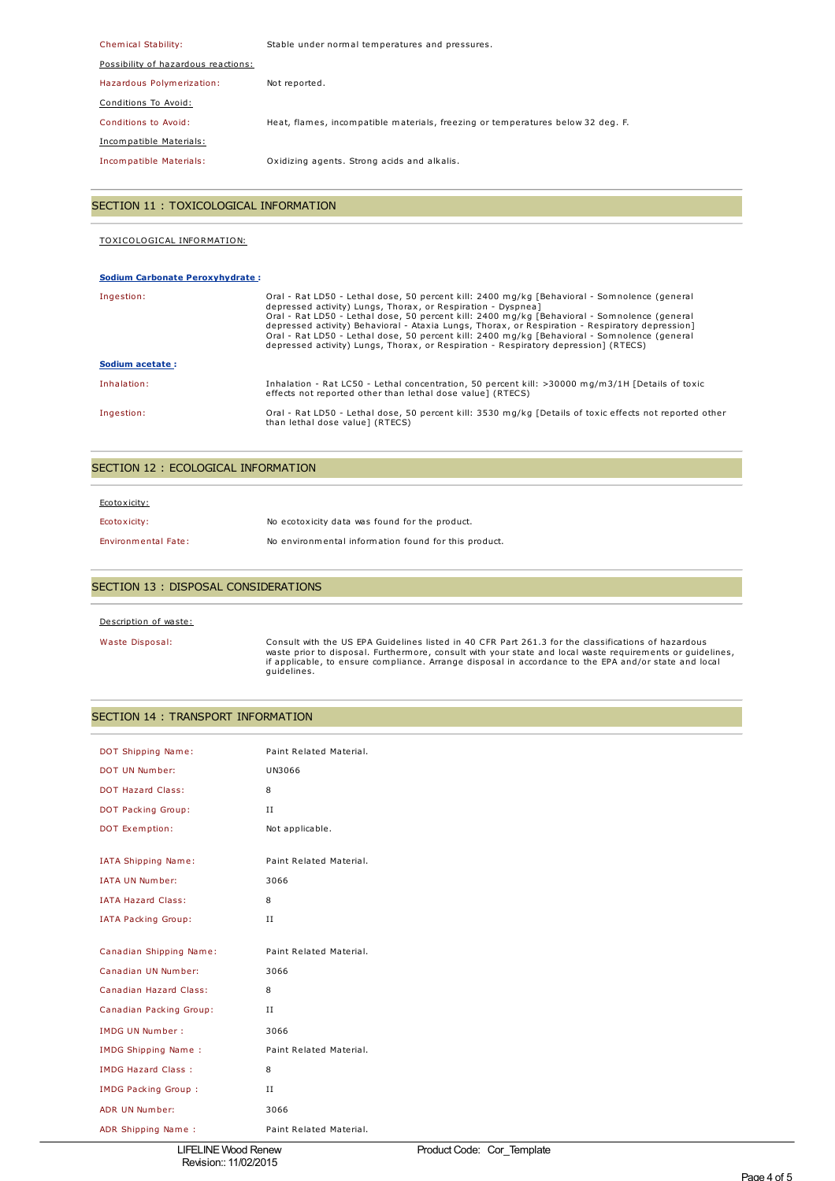| Chemical Stability:                 | Stable under normal temperatures and pressures.                                 |
|-------------------------------------|---------------------------------------------------------------------------------|
| Possibility of hazardous reactions: |                                                                                 |
| Hazardous Polymerization:           | Not reported.                                                                   |
| Conditions To Avoid:                |                                                                                 |
| Conditions to Avoid:                | Heat, flames, incompatible materials, freezing or temperatures below 32 deg. F. |
| Incompatible Materials:             |                                                                                 |
| Incompatible Materials:             | Oxidizing agents. Strong acids and alkalis.                                     |

# SECTION 11 : TOXICOLOGICAL INFORMATION

# TOXICOLOGICAL INFORMATION:

## **Sodium Carbonate Peroxyhydrate :**

| Ingestion:      | Oral - Rat LD50 - Lethal dose, 50 percent kill: 2400 mg/kg [Behavioral - Somnolence (general<br>depressed activity) Lungs, Thorax, or Respiration - Dyspneal<br>Oral - Rat LD50 - Lethal dose, 50 percent kill: 2400 mg/kg [Behavioral - Somnolence (general<br>depressed activity) Behavioral - Ataxia Lungs, Thorax, or Respiration - Respiratory depression]<br>Oral - Rat LD50 - Lethal dose, 50 percent kill: 2400 mg/kg [Behavioral - Somnolence (general<br>depressed activity) Lungs, Thorax, or Respiration - Respiratory depression] (RTECS) |
|-----------------|--------------------------------------------------------------------------------------------------------------------------------------------------------------------------------------------------------------------------------------------------------------------------------------------------------------------------------------------------------------------------------------------------------------------------------------------------------------------------------------------------------------------------------------------------------|
| Sodium acetate: |                                                                                                                                                                                                                                                                                                                                                                                                                                                                                                                                                        |
| Inhalation:     | Inhalation - Rat LC50 - Lethal concentration, 50 percent kill: >30000 mg/m3/1H [Details of toxic<br>effects not reported other than lethal dose value] (RTECS)                                                                                                                                                                                                                                                                                                                                                                                         |
| Ingestion:      | Oral - Rat LD50 - Lethal dose, 50 percent kill: 3530 mg/kg [Details of toxic effects not reported other<br>than lethal dose value] (RTECS)                                                                                                                                                                                                                                                                                                                                                                                                             |

## SECTION 12 : ECOLOGICAL INFORMATION

| Ecotoxicity:               |                                                      |
|----------------------------|------------------------------------------------------|
| Ecotoxicity:               | No ecotoxicity data was found for the product.       |
| <b>Environmental Fate:</b> | No environmental information found for this product. |

## SECTION 13 : DISPOSAL CONSIDERATIONS

## Description of waste:

Waste Disposal: Consult with the US EPA Guidelines listed in 40 CFR Part 261.3 for the classifications of hazardous waste prior to disposal. Furthermore, consult with your state and local waste requirements or guidelines, if applicable, to ensure compliance. Arrange disposal in accordance to the EPA and/or state and local guidelines.

# SECTION 14 : TRANSPORT INFORMATION

| DOT Shipping Name:         | Paint Related Material. |
|----------------------------|-------------------------|
| DOT UN Number:             | UN3066                  |
| <b>DOT Hazard Class:</b>   | 8                       |
| DOT Packing Group:         | $_{II}$                 |
| DOT Exemption:             | Not applicable.         |
|                            | Paint Related Material. |
| <b>IATA Shipping Name:</b> |                         |
| <b>IATA UN Number:</b>     | 3066                    |
| <b>IATA Hazard Class:</b>  | 8                       |
| <b>IATA Packing Group:</b> | $\rm II$                |
|                            |                         |
| Canadian Shipping Name:    | Paint Related Material. |
| Canadian UN Number:        | 3066                    |
| Canadian Hazard Class:     | 8                       |
| Canadian Packing Group:    | $\scriptstyle\rm II$    |
| <b>IMDG UN Number:</b>     | 3066                    |
| <b>IMDG Shipping Name:</b> | Paint Related Material. |
| <b>IMDG Hazard Class:</b>  | 8                       |
| <b>IMDG Packing Group:</b> | II                      |
| ADR UN Number:             | 3066                    |
| ADR Shipping Name:         | Paint Related Material. |